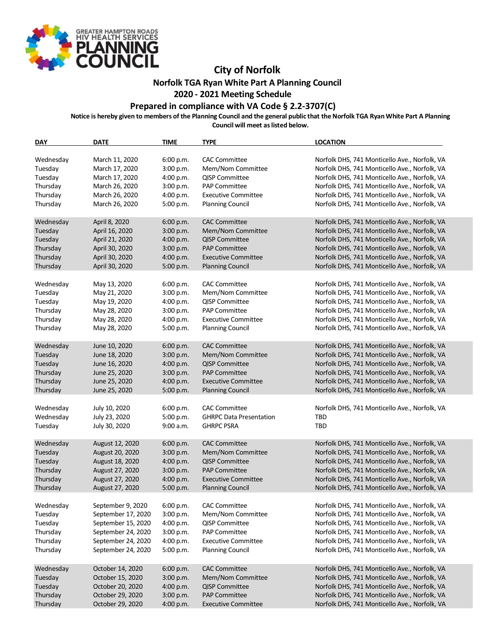

## **City of Norfolk**

**Norfolk TGA Ryan White Part A Planning Council**

## **2020 - 2021 Meeting Schedule**

## **Prepared in compliance with VA Code § 2.2-3707(C)**

**Notice is hereby given to members of the Planning Council and the general public that the Norfolk TGA Ryan White Part A Planning Council will meet as listed below.**

**DAY DATE TIME TYPE LOCATION** Wednesday March 11, 2020 6:00 p.m. CAC Committee Morfolk DHS, 741 Monticello Ave., Norfolk, VA<br>Tuesday March 17, 2020 3:00 p.m. Mem/Nom Committee Norfolk DHS, 741 Monticello Ave., Norfolk, VA Tuesday March 17, 2020 3:00 p.m. Mem/Nom Committee Norfolk DHS, 741 Monticello Ave., Norfolk, VA Tuesday March 17, 2020 4:00 p.m. QISP Committee Norfolk DHS, 741 Monticello Ave., Norfolk, VA<br>1990 - Thursday March 26, 2020 3:00 p.m. PAP Committee Norfolk DHS, 741 Monticello Ave., Norfolk, VA Thursday March 26, 2020 3:00 p.m. PAP Committee Norfolk DHS, 741 Monticello Ave., Norfolk, VA Thursday March 26, 2020 4:00 p.m. Executive Committee Norfolk DHS, 741 Monticello Ave., Norfolk, VA Thursday March 26, 2020 5:00 p.m. Planning Council Norfolk DHS, 741 Monticello Ave., Norfolk, VA Wednesday April 8, 2020 6:00 p.m. CAC Committee North Norfolk DHS, 741 Monticello Ave., Norfolk, VA Tuesday April 16, 2020 3:00 p.m. Mem/Nom Committee Norfolk DHS, 741 Monticello Ave., Norfolk, VA<br>Tuesday April 21, 2020 4:00 p.m. QISP Committee Norfolk DHS, 741 Monticello Ave., Norfolk, VA April 21, 2020 4:00 p.m. QISP Committee Norfolk DHS, 741 Monticello Ave., Norfolk, VA<br>April 30. 2020 3:00 p.m. PAP Committee Norfolk DHS, 741 Monticello Ave., Norfolk, VA Thursday April 30, 2020 3:00 p.m. PAP Committee Norfolk DHS, 741 Monticello Ave., Norfolk, VA Thursday April 30, 2020 4:00 p.m. Executive Committee Norfolk DHS, 741 Monticello Ave., Norfolk, VA Thursday April 30, 2020 5:00 p.m. Planning Council Norfolk DHS, 741 Monticello Ave., Norfolk, VA Wednesday May 13, 2020 6:00 p.m. CAC Committee Norfolk DHS, 741 Monticello Ave., Norfolk, VA Tuesday May 21, 2020 3:00 p.m. Mem/Nom Committee Norfolk DHS, 741 Monticello Ave., Norfolk, VA Tuesday May 19, 2020 4:00 p.m. QISP Committee Norfolk DHS, 741 Monticello Ave., Norfolk, VA Thursday May 28, 2020 3:00 p.m. PAP Committee Norfolk DHS, 741 Monticello Ave., Norfolk, VA Thursday May 28, 2020 4:00 p.m. Executive Committee Norfolk DHS, 741 Monticello Ave., Norfolk, VA Thursday May 28, 2020 5:00 p.m. Planning Council Norfolk DHS, 741 Monticello Ave., Norfolk, VA Wednesday June 10, 2020 6:00 p.m. CAC Committee Norfolk DHS, 741 Monticello Ave., Norfolk, VA<br>Tuesday June 18, 2020 3:00 p.m. Mem/Nom Committee Norfolk DHS, 741 Monticello Ave., Norfolk, VA Tuesday June 18, 2020 3:00 p.m. Mem/Nom Committee Norfolk DHS, 741 Monticello Ave., Norfolk, VA Tuesday June 16, 2020 4:00 p.m. QISP Committee Norfolk DHS, 741 Monticello Ave., Norfolk, VA Thursday June 25, 2020 3:00 p.m. PAP Committee Norfolk DHS, 741 Monticello Ave., Norfolk, VA Thursday June 25, 2020 4:00 p.m. Executive Committee Norfolk DHS, 741 Monticello Ave., Norfolk, VA Thursday June 25, 2020 5:00 p.m. Planning Council Norfolk DHS, 741 Monticello Ave., Norfolk, VA Wednesday July 10, 2020 6:00 p.m. CAC Committee Norfolk DHS, 741 Monticello Ave., Norfolk, VA Wednesday July 23, 2020 5:00 p.m. GHRPC Data Presentation TBD Tuesday July 30, 2020 9:00 a.m. GHRPC PSRA TBD Wednesday August 12, 2020 6:00 p.m. CAC Committee Norfolk DHS, 741 Monticello Ave., Norfolk, VA Tuesday August 20, 2020 3:00 p.m. Mem/Nom Committee Norfolk DHS, 741 Monticello Ave., Norfolk, VA Tuesday August 18, 2020 4:00 p.m. QISP Committee Norfolk DHS, 741 Monticello Ave., Norfolk, VA Thursday August 27, 2020 3:00 p.m. PAP Committee Norfolk DHS, 741 Monticello Ave., Norfolk, VA Thursday August 27, 2020 4:00 p.m. Executive Committee Norfolk DHS, 741 Monticello Ave., Norfolk, VA Thursday August 27, 2020 5:00 p.m. Planning Council Norfolk DHS, 741 Monticello Ave., Norfolk, VA Wednesday September 9, 2020 6:00 p.m. CAC Committee Norfolk DHS, 741 Monticello Ave., Norfolk, VA Tuesday September 17, 2020 3:00 p.m. Mem/Nom Committee Norfolk DHS, 741 Monticello Ave., Norfolk, VA Tuesday September 15, 2020 4:00 p.m. QISP Committee Norfolk DHS, 741 Monticello Ave., Norfolk, VA Thursday September 24, 2020 3:00 p.m. PAP Committee Norfolk DHS, 741 Monticello Ave., Norfolk, VA Thursday September 24, 2020 4:00 p.m. Executive Committee Norfolk DHS, 741 Monticello Ave., Norfolk, VA Thursday September 24, 2020 5:00 p.m. Planning Council Norfolk DHS, 741 Monticello Ave., Norfolk, VA Wednesday October 14, 2020 6:00 p.m. CAC Committee Norfolk DHS, 741 Monticello Ave., Norfolk, VA Tuesday October 15, 2020 3:00 p.m. Mem/Nom Committee Norfolk DHS, 741 Monticello Ave., Norfolk, VA October 20, 2020 4:00 p.m. QISP Committee Norfolk DHS, 741 Monticello Ave., Norfolk, VA Thursday **October 29, 2020** 3:00 p.m. PAP Committee Norfolk DHS, 741 Monticello Ave., Norfolk, VA Thursday October 29, 2020 4:00 p.m. Executive Committee Norfolk DHS, 741 Monticello Ave., Norfolk, VA